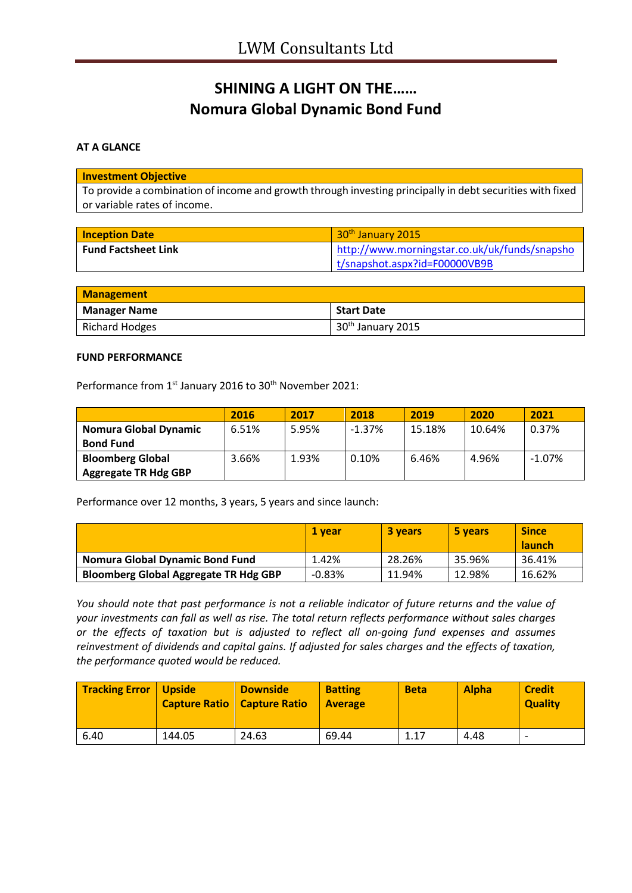# **SHINING A LIGHT ON THE…… Nomura Global Dynamic Bond Fund**

### **AT A GLANCE**

#### **Investment Objective**

To provide a combination of income and growth through investing principally in debt securities with fixed or variable rates of income.

| <b>Inception Date</b>      | 30 <sup>th</sup> January 2015                 |
|----------------------------|-----------------------------------------------|
| <b>Fund Factsheet Link</b> | http://www.morningstar.co.uk/uk/funds/snapsho |
|                            | t/snapshot.aspx?id=F00000VB9B                 |

| <b>Management</b>   |                               |
|---------------------|-------------------------------|
| <b>Manager Name</b> | <b>Start Date</b>             |
| Richard Hodges      | 30 <sup>th</sup> January 2015 |

#### **FUND PERFORMANCE**

Performance from 1<sup>st</sup> January 2016 to 30<sup>th</sup> November 2021:

|                              | 2016  | 2017  | 2018     | 2019   | 2020   | 2021      |
|------------------------------|-------|-------|----------|--------|--------|-----------|
| <b>Nomura Global Dynamic</b> | 6.51% | 5.95% | $-1.37%$ | 15.18% | 10.64% | 0.37%     |
| <b>Bond Fund</b>             |       |       |          |        |        |           |
| <b>Bloomberg Global</b>      | 3.66% | 1.93% | 0.10%    | 6.46%  | 4.96%  | $-1.07\%$ |
| <b>Aggregate TR Hdg GBP</b>  |       |       |          |        |        |           |

Performance over 12 months, 3 years, 5 years and since launch:

|                                              | 1 vear   | 3 years | 5 years | <b>Since</b>  |
|----------------------------------------------|----------|---------|---------|---------------|
|                                              |          |         |         | <b>launch</b> |
| Nomura Global Dynamic Bond Fund              | 1.42%    | 28.26%  | 35.96%  | 36.41%        |
| <b>Bloomberg Global Aggregate TR Hdg GBP</b> | $-0.83%$ | 11.94%  | 12.98%  | 16.62%        |

*You should note that past performance is not a reliable indicator of future returns and the value of your investments can fall as well as rise. The total return reflects performance without sales charges or the effects of taxation but is adjusted to reflect all on-going fund expenses and assumes reinvestment of dividends and capital gains. If adjusted for sales charges and the effects of taxation, the performance quoted would be reduced.*

| <b>Tracking Error   Upside</b> |        | <b>Downside</b><br><b>Capture Ratio   Capture Ratio</b> | <b>Batting</b><br><b>Average</b> | <b>Beta</b> | <b>Alpha</b> | <b>Credit</b><br><b>Quality</b> |
|--------------------------------|--------|---------------------------------------------------------|----------------------------------|-------------|--------------|---------------------------------|
| 6.40                           | 144.05 | 24.63                                                   | 69.44                            | 1.17        | 4.48         | $\overline{\phantom{0}}$        |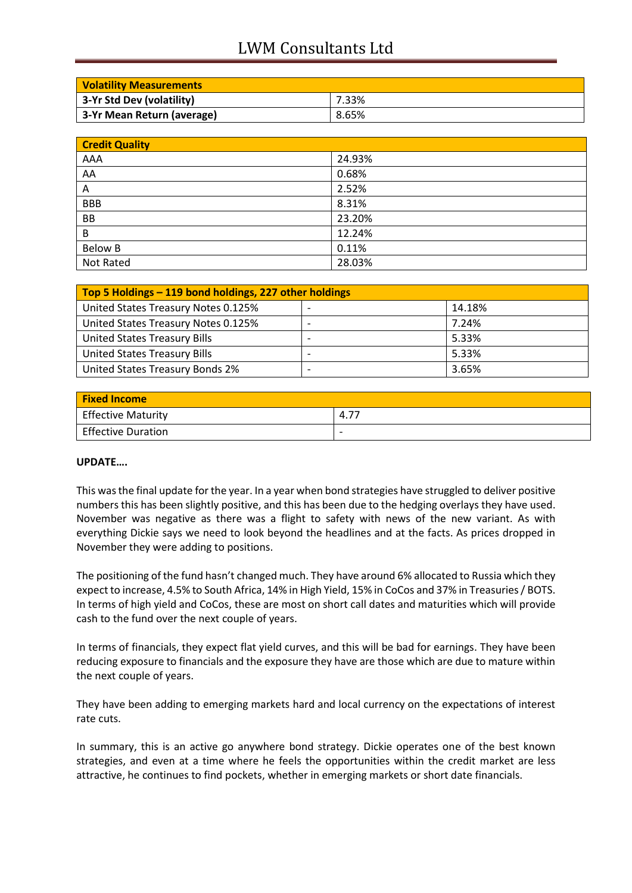## LWM Consultants Ltd

| <b>Volatility Measurements</b> |       |
|--------------------------------|-------|
| 3-Yr Std Dev (volatility)      | 7.33% |
| 3-Yr Mean Return (average)     | 8.65% |

| <b>Credit Quality</b> |        |
|-----------------------|--------|
| AAA                   | 24.93% |
| AA                    | 0.68%  |
| Α                     | 2.52%  |
| <b>BBB</b>            | 8.31%  |
| BB                    | 23.20% |
| B                     | 12.24% |
| <b>Below B</b>        | 0.11%  |
| Not Rated             | 28.03% |

| Top 5 Holdings – 119 bond holdings, 227 other holdings |  |        |
|--------------------------------------------------------|--|--------|
| United States Treasury Notes 0.125%                    |  | 14.18% |
| United States Treasury Notes 0.125%                    |  | 7.24%  |
| <b>United States Treasury Bills</b>                    |  | 5.33%  |
| <b>United States Treasury Bills</b>                    |  | 5.33%  |
| United States Treasury Bonds 2%                        |  | 3.65%  |

| <b>Fixed Income</b>       |                          |
|---------------------------|--------------------------|
| <b>Effective Maturity</b> | 4.77                     |
| <b>Effective Duration</b> | $\overline{\phantom{0}}$ |

### **UPDATE….**

This was the final update for the year. In a year when bond strategies have struggled to deliver positive numbers this has been slightly positive, and this has been due to the hedging overlays they have used. November was negative as there was a flight to safety with news of the new variant. As with everything Dickie says we need to look beyond the headlines and at the facts. As prices dropped in November they were adding to positions.

The positioning of the fund hasn't changed much. They have around 6% allocated to Russia which they expect to increase, 4.5% to South Africa, 14% in High Yield, 15% in CoCos and 37% in Treasuries / BOTS. In terms of high yield and CoCos, these are most on short call dates and maturities which will provide cash to the fund over the next couple of years.

In terms of financials, they expect flat yield curves, and this will be bad for earnings. They have been reducing exposure to financials and the exposure they have are those which are due to mature within the next couple of years.

They have been adding to emerging markets hard and local currency on the expectations of interest rate cuts.

In summary, this is an active go anywhere bond strategy. Dickie operates one of the best known strategies, and even at a time where he feels the opportunities within the credit market are less attractive, he continues to find pockets, whether in emerging markets or short date financials.